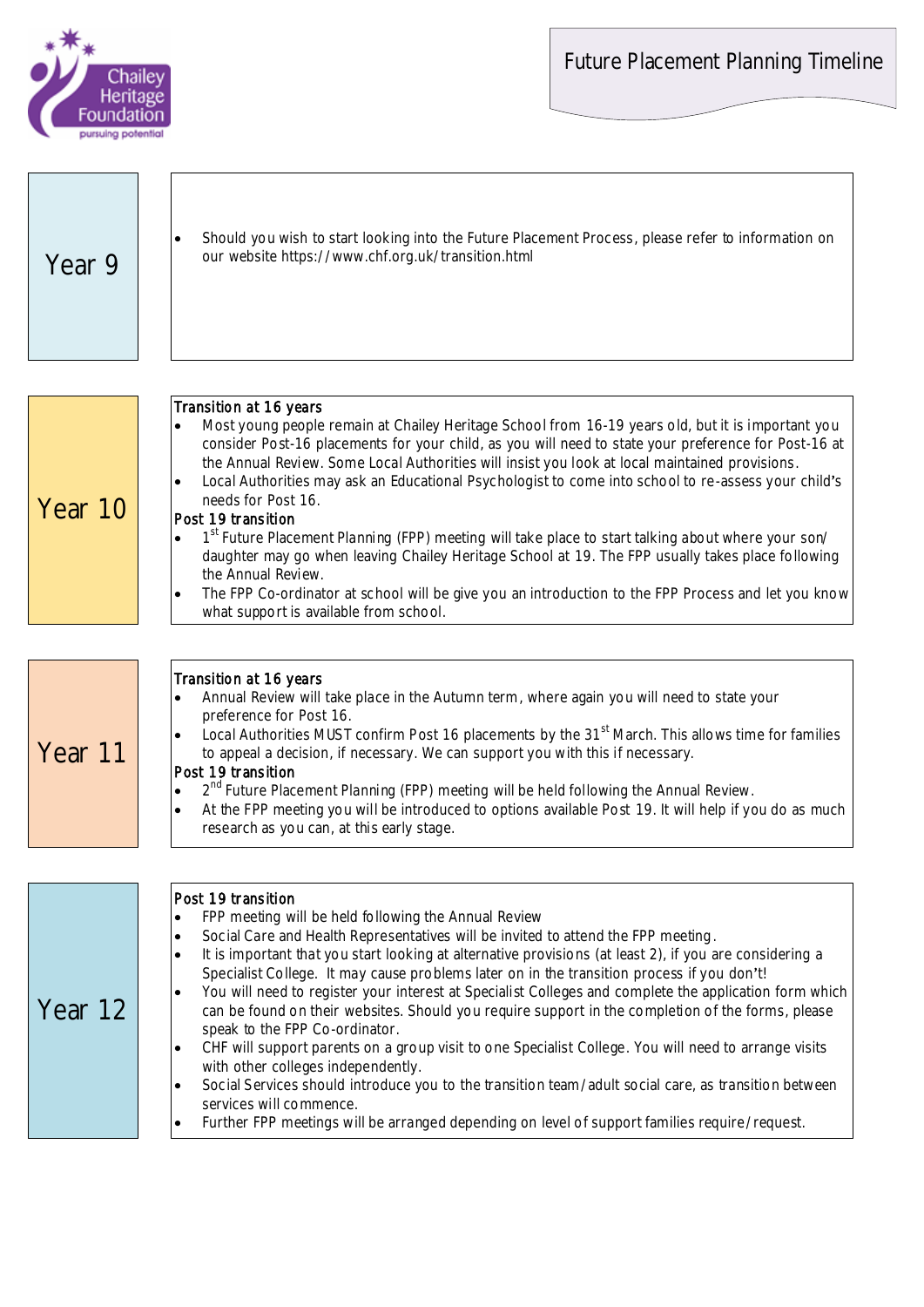Future Placement Planning Timeline



| Year 9  | Should you wish to start looking into the Future Placement Process, please refer to information on<br>$\bullet$<br>our website https://www.chf.org.uk/transition.html                                                                                                                                                                                                                                                                                                                                                                                                                                                                                                                                                                                                                                                                                                                                                                                                                                                                                                                                  |
|---------|--------------------------------------------------------------------------------------------------------------------------------------------------------------------------------------------------------------------------------------------------------------------------------------------------------------------------------------------------------------------------------------------------------------------------------------------------------------------------------------------------------------------------------------------------------------------------------------------------------------------------------------------------------------------------------------------------------------------------------------------------------------------------------------------------------------------------------------------------------------------------------------------------------------------------------------------------------------------------------------------------------------------------------------------------------------------------------------------------------|
| Year 10 | Transition at 16 years<br>Most young people remain at Chailey Heritage School from 16-19 years old, but it is important you<br>$\bullet$<br>consider Post-16 placements for your child, as you will need to state your preference for Post-16 at<br>the Annual Review. Some Local Authorities will insist you look at local maintained provisions.<br>Local Authorities may ask an Educational Psychologist to come into school to re-assess your child's<br>$\bullet$<br>needs for Post 16.<br>Post 19 transition<br>1st Future Placement Planning (FPP) meeting will take place to start talking about where your son/<br>$\bullet$<br>daughter may go when leaving Chailey Heritage School at 19. The FPP usually takes place following<br>the Annual Review.<br>The FPP Co-ordinator at school will be give you an introduction to the FPP Process and let you know<br>$\bullet$<br>what support is available from school.                                                                                                                                                                         |
| Year 11 | Transition at 16 years<br>Annual Review will take place in the Autumn term, where again you will need to state your<br>$\bullet$<br>preference for Post 16.<br>Local Authorities MUST confirm Post 16 placements by the 31 <sup>st</sup> March. This allows time for families<br>to appeal a decision, if necessary. We can support you with this if necessary.<br>Post 19 transition<br>2 <sup>nd</sup> Future Placement Planning (FPP) meeting will be held following the Annual Review.<br>$\bullet$<br>At the FPP meeting you will be introduced to options available Post 19. It will help if you do as much<br>$\bullet$<br>research as you can, at this early stage.                                                                                                                                                                                                                                                                                                                                                                                                                            |
| Year 12 | Post 19 transition<br>FPP meeting will be held following the Annual Review<br>$\bullet$<br>Social Care and Health Representatives will be invited to attend the FPP meeting.<br>$\bullet$<br>It is important that you start looking at alternative provisions (at least 2), if you are considering a<br>$\bullet$<br>Specialist College. It may cause problems later on in the transition process if you don't!<br>You will need to register your interest at Specialist Colleges and complete the application form which<br>$\bullet$<br>can be found on their websites. Should you require support in the completion of the forms, please<br>speak to the FPP Co-ordinator.<br>CHF will support parents on a group visit to one Specialist College. You will need to arrange visits<br>$\bullet$<br>with other colleges independently.<br>Social Services should introduce you to the transition team/adult social care, as transition between<br>$\bullet$<br>services will commence.<br>Further FPP meetings will be arranged depending on level of support families require/request.<br>$\bullet$ |